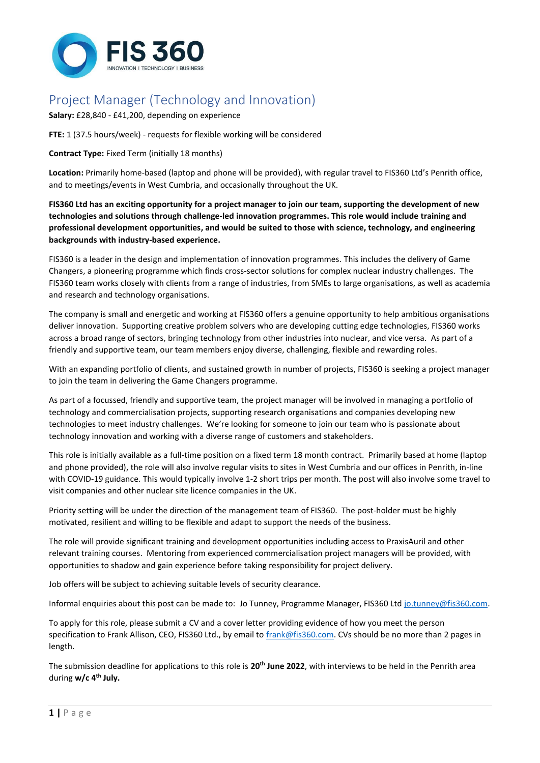

# Project Manager (Technology and Innovation)

**Salary:** £28,840 - £41,200, depending on experience

**FTE:** 1 (37.5 hours/week) - requests for flexible working will be considered

### **Contract Type:** Fixed Term (initially 18 months)

**Location:** Primarily home-based (laptop and phone will be provided), with regular travel to FIS360 Ltd's Penrith office, and to meetings/events in West Cumbria, and occasionally throughout the UK.

**FIS360 Ltd has an exciting opportunity for a project manager to join our team, supporting the development of new technologies and solutions through challenge-led innovation programmes. This role would include training and professional development opportunities, and would be suited to those with science, technology, and engineering backgrounds with industry-based experience.**

FIS360 is a leader in the design and implementation of innovation programmes. This includes the delivery of Game Changers, a pioneering programme which finds cross-sector solutions for complex nuclear industry challenges. The FIS360 team works closely with clients from a range of industries, from SMEs to large organisations, as well as academia and research and technology organisations.

The company is small and energetic and working at FIS360 offers a genuine opportunity to help ambitious organisations deliver innovation. Supporting creative problem solvers who are developing cutting edge technologies, FIS360 works across a broad range of sectors, bringing technology from other industries into nuclear, and vice versa. As part of a friendly and supportive team, our team members enjoy diverse, challenging, flexible and rewarding roles.

With an expanding portfolio of clients, and sustained growth in number of projects, FIS360 is seeking a project manager to join the team in delivering the Game Changers programme.

As part of a focussed, friendly and supportive team, the project manager will be involved in managing a portfolio of technology and commercialisation projects, supporting research organisations and companies developing new technologies to meet industry challenges. We're looking for someone to join our team who is passionate about technology innovation and working with a diverse range of customers and stakeholders.

This role is initially available as a full-time position on a fixed term 18 month contract. Primarily based at home (laptop and phone provided), the role will also involve regular visits to sites in West Cumbria and our offices in Penrith, in-line with COVID-19 guidance. This would typically involve 1-2 short trips per month. The post will also involve some travel to visit companies and other nuclear site licence companies in the UK.

Priority setting will be under the direction of the management team of FIS360. The post-holder must be highly motivated, resilient and willing to be flexible and adapt to support the needs of the business.

The role will provide significant training and development opportunities including access to PraxisAuril and other relevant training courses. Mentoring from experienced commercialisation project managers will be provided, with opportunities to shadow and gain experience before taking responsibility for project delivery.

Job offers will be subject to achieving suitable levels of security clearance.

Informal enquiries about this post can be made to: Jo Tunney, Programme Manager, FIS360 Lt[d jo.tunney@fis360.com.](mailto:jo.tunney@fis360.com)

To apply for this role, please submit a CV and a cover letter providing evidence of how you meet the person specification to Frank Allison, CEO, FIS360 Ltd., by email t[o frank@fis360.com.](mailto:frank@fis360.com) CVs should be no more than 2 pages in length.

The submission deadline for applications to this role is **20th June 2022**, with interviews to be held in the Penrith area during **w/c 4th July.**